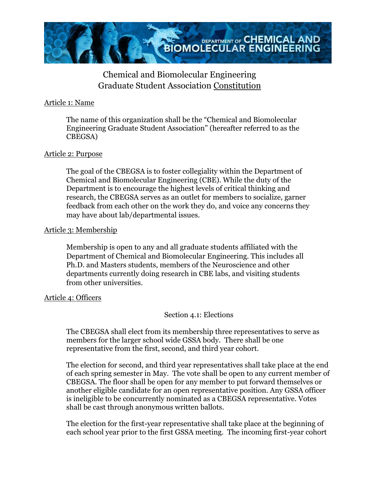

# Chemical and Biomolecular Engineering Graduate Student Association Constitution

## Article 1: Name

The name of this organization shall be the "Chemical and Biomolecular Engineering Graduate Student Association" (hereafter referred to as the CBEGSA)

## Article 2: Purpose

The goal of the CBEGSA is to foster collegiality within the Department of Chemical and Biomolecular Engineering (CBE). While the duty of the Department is to encourage the highest levels of critical thinking and research, the CBEGSA serves as an outlet for members to socialize, garner feedback from each other on the work they do, and voice any concerns they may have about lab/departmental issues.

## Article 3: Membership

Membership is open to any and all graduate students affiliated with the Department of Chemical and Biomolecular Engineering. This includes all Ph.D. and Masters students, members of the Neuroscience and other departments currently doing research in CBE labs, and visiting students from other universities.

#### Article 4: Officers

## Section 4.1: Elections

The CBEGSA shall elect from its membership three representatives to serve as members for the larger school wide GSSA body. There shall be one representative from the first, second, and third year cohort.

The election for second, and third year representatives shall take place at the end of each spring semester in May. The vote shall be open to any current member of CBEGSA. The floor shall be open for any member to put forward themselves or another eligible candidate for an open representative position. Any GSSA officer is ineligible to be concurrently nominated as a CBEGSA representative. Votes shall be cast through anonymous written ballots.

The election for the first-year representative shall take place at the beginning of each school year prior to the first GSSA meeting. The incoming first-year cohort